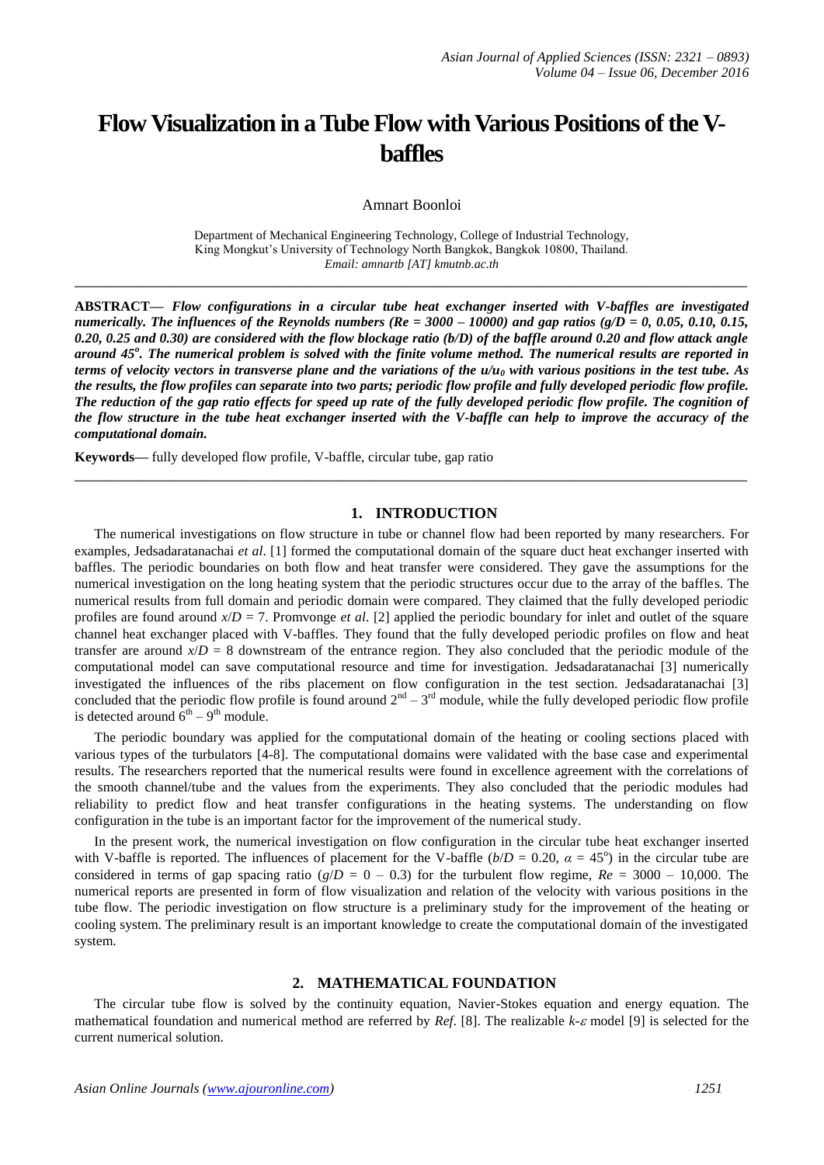# **Flow Visualization in a Tube Flow with Various Positions of the Vbaffles**

Amnart Boonloi

Department of Mechanical Engineering Technology, College of Industrial Technology, King Mongkut's University of Technology North Bangkok, Bangkok 10800, Thailand. *Email: amnartb [AT] kmutnb.ac.th*

**\_\_\_\_\_\_\_\_\_\_\_\_\_\_\_\_\_\_\_\_\_\_\_\_\_\_\_\_\_\_\_\_\_\_\_\_\_\_\_\_\_\_\_\_\_\_\_\_\_\_\_\_\_\_\_\_\_\_\_\_\_\_\_\_\_\_\_\_\_\_\_\_\_\_\_\_\_\_\_\_\_**

**ABSTRACT—** *Flow configurations in a circular tube heat exchanger inserted with V-baffles are investigated numerically. The influences of the Reynolds numbers (Re = 3000 – 10000) and gap ratios (g/D = 0, 0.05, 0.10, 0.15, 0.20, 0.25 and 0.30) are considered with the flow blockage ratio (b/D) of the baffle around 0.20 and flow attack angle around 45<sup>o</sup> . The numerical problem is solved with the finite volume method. The numerical results are reported in terms of velocity vectors in transverse plane and the variations of the u/u<sup>0</sup> with various positions in the test tube. As the results, the flow profiles can separate into two parts; periodic flow profile and fully developed periodic flow profile. The reduction of the gap ratio effects for speed up rate of the fully developed periodic flow profile. The cognition of the flow structure in the tube heat exchanger inserted with the V-baffle can help to improve the accuracy of the computational domain.*

**Keywords—** fully developed flow profile, V-baffle, circular tube, gap ratio

### **1. INTRODUCTION**

**\_\_\_\_\_\_\_\_\_\_\_\_\_\_\_\_\_\_\_\_\_\_\_\_\_\_\_\_\_\_\_\_\_\_\_\_\_\_\_\_\_\_\_\_\_\_\_\_\_\_\_\_\_\_\_\_\_\_\_\_\_\_\_\_\_\_\_\_\_\_\_\_\_\_\_\_\_\_\_\_\_**

The numerical investigations on flow structure in tube or channel flow had been reported by many researchers. For examples, Jedsadaratanachai *et al*. [1] formed the computational domain of the square duct heat exchanger inserted with baffles. The periodic boundaries on both flow and heat transfer were considered. They gave the assumptions for the numerical investigation on the long heating system that the periodic structures occur due to the array of the baffles. The numerical results from full domain and periodic domain were compared. They claimed that the fully developed periodic profiles are found around  $x/D = 7$ . Promvonge *et al.* [2] applied the periodic boundary for inlet and outlet of the square channel heat exchanger placed with V-baffles. They found that the fully developed periodic profiles on flow and heat transfer are around  $x/D = 8$  downstream of the entrance region. They also concluded that the periodic module of the computational model can save computational resource and time for investigation. Jedsadaratanachai [3] numerically investigated the influences of the ribs placement on flow configuration in the test section. Jedsadaratanachai [3] concluded that the periodic flow profile is found around  $2<sup>nd</sup> - 3<sup>rd</sup>$  module, while the fully developed periodic flow profile is detected around  $6^{th} - 9^{th}$  module.

The periodic boundary was applied for the computational domain of the heating or cooling sections placed with various types of the turbulators [4-8]. The computational domains were validated with the base case and experimental results. The researchers reported that the numerical results were found in excellence agreement with the correlations of the smooth channel/tube and the values from the experiments. They also concluded that the periodic modules had reliability to predict flow and heat transfer configurations in the heating systems. The understanding on flow configuration in the tube is an important factor for the improvement of the numerical study.

In the present work, the numerical investigation on flow configuration in the circular tube heat exchanger inserted with V-baffle is reported. The influences of placement for the V-baffle  $(b/D = 0.20, \alpha = 45^{\circ})$  in the circular tube are considered in terms of gap spacing ratio ( $g/D = 0 - 0.3$ ) for the turbulent flow regime,  $Re = 3000 - 10,000$ . The numerical reports are presented in form of flow visualization and relation of the velocity with various positions in the tube flow. The periodic investigation on flow structure is a preliminary study for the improvement of the heating or cooling system. The preliminary result is an important knowledge to create the computational domain of the investigated system.

## **2. MATHEMATICAL FOUNDATION**

The circular tube flow is solved by the continuity equation, Navier-Stokes equation and energy equation. The mathematical foundation and numerical method are referred by *Ref.* [8]. The realizable  $k$ - $\varepsilon$  model [9] is selected for the current numerical solution.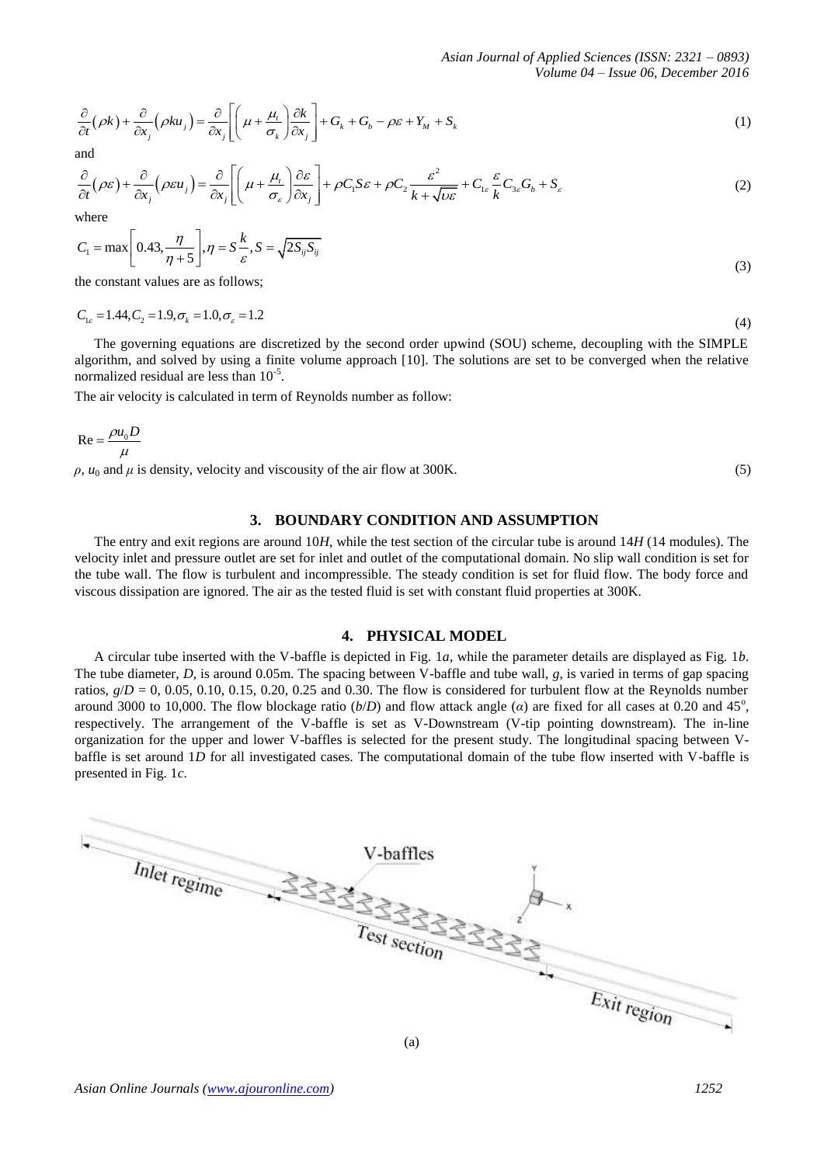$$
\frac{\partial}{\partial t}(\rho k) + \frac{\partial}{\partial x_j}(\rho k u_j) = \frac{\partial}{\partial x_j} \left[ \left( \mu + \frac{\mu_t}{\sigma_k} \right) \frac{\partial k}{\partial x_j} \right] + G_k + G_b - \rho \varepsilon + Y_M + S_k
$$
\n(1)

and

$$
\frac{\partial}{\partial t} (\rho \varepsilon) + \frac{\partial}{\partial x_j} (\rho \varepsilon u_j) = \frac{\partial}{\partial x_j} \left[ \left( \mu + \frac{\mu_t}{\sigma_{\varepsilon}} \right) \frac{\partial \varepsilon}{\partial x_j} \right] + \rho C_1 S \varepsilon + \rho C_2 \frac{\varepsilon^2}{k + \sqrt{\nu \varepsilon}} + C_{1\varepsilon} \frac{\varepsilon}{k} C_{3\varepsilon} G_b + S_{\varepsilon}
$$
\n(2)

where

$$
C_1 = \max\left[0.43, \frac{\eta}{\eta + 5}\right], \eta = S\frac{k}{\varepsilon}, S = \sqrt{2S_{ij}S_{ij}}
$$
\n(3)

the constant values are as follows;

 $C_{1\varepsilon} = 1.44, C_2 = 1.9, \sigma_k = 1.0, \sigma_{\varepsilon} = 1.2$ (4)

The governing equations are discretized by the second order upwind (SOU) scheme, decoupling with the SIMPLE algorithm, and solved by using a finite volume approach [10]. The solutions are set to be converged when the relative normalized residual are less than  $10^{-5}$ .

The air velocity is calculated in term of Reynolds number as follow:

$$
Re = \frac{\rho u_0 D}{\mu}
$$

*ρ*, *u*<sub>0</sub> and *μ* is density, velocity and viscousity of the air flow at 300K. (5)

## **3. BOUNDARY CONDITION AND ASSUMPTION**

The entry and exit regions are around 10*H*, while the test section of the circular tube is around 14*H* (14 modules). The velocity inlet and pressure outlet are set for inlet and outlet of the computational domain. No slip wall condition is set for the tube wall. The flow is turbulent and incompressible. The steady condition is set for fluid flow. The body force and viscous dissipation are ignored. The air as the tested fluid is set with constant fluid properties at 300K.

## **4. PHYSICAL MODEL**

A circular tube inserted with the V-baffle is depicted in Fig. 1*a*, while the parameter details are displayed as Fig. 1*b*. The tube diameter, *D*, is around 0.05m. The spacing between V-baffle and tube wall, *g*, is varied in terms of gap spacing ratios,  $g/D = 0$ , 0.05, 0.10, 0.15, 0.20, 0.25 and 0.30. The flow is considered for turbulent flow at the Reynolds number around 3000 to 10,000. The flow blockage ratio  $(b/D)$  and flow attack angle ( $a$ ) are fixed for all cases at 0.20 and 45<sup>o</sup>, respectively. The arrangement of the V-baffle is set as V-Downstream (V-tip pointing downstream). The in-line organization for the upper and lower V-baffles is selected for the present study. The longitudinal spacing between Vbaffle is set around 1*D* for all investigated cases. The computational domain of the tube flow inserted with V-baffle is presented in Fig. 1*c*.

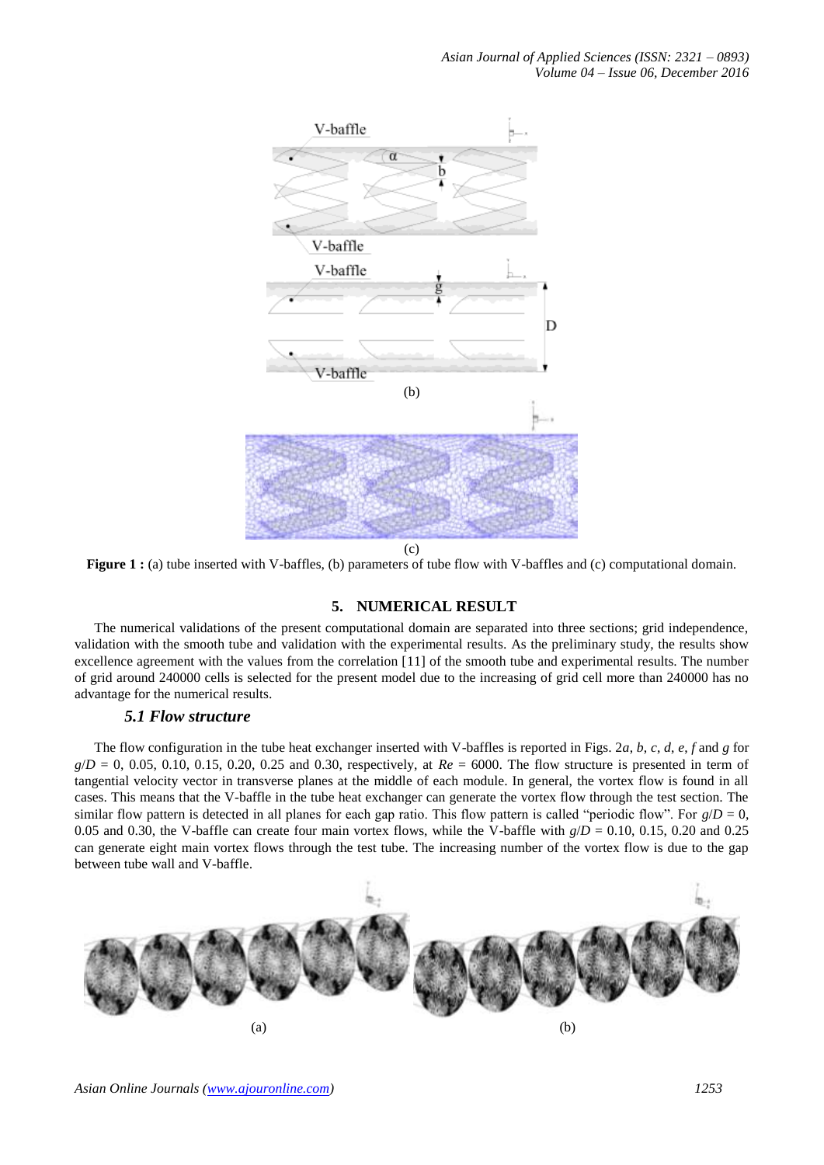

**Figure 1**: (a) tube inserted with V-baffles, (b) parameters of tube flow with V-baffles and (c) computational domain.

# **5. NUMERICAL RESULT**

The numerical validations of the present computational domain are separated into three sections; grid independence, validation with the smooth tube and validation with the experimental results. As the preliminary study, the results show excellence agreement with the values from the correlation [11] of the smooth tube and experimental results. The number of grid around 240000 cells is selected for the present model due to the increasing of grid cell more than 240000 has no advantage for the numerical results.

# *5.1 Flow structure*

The flow configuration in the tube heat exchanger inserted with V-baffles is reported in Figs. 2*a*, *b*, *c*, *d*, *e*, *f* and *g* for  $g/D = 0$ , 0.05, 0.10, 0.15, 0.20, 0.25 and 0.30, respectively, at  $Re = 6000$ . The flow structure is presented in term of tangential velocity vector in transverse planes at the middle of each module. In general, the vortex flow is found in all cases. This means that the V-baffle in the tube heat exchanger can generate the vortex flow through the test section. The similar flow pattern is detected in all planes for each gap ratio. This flow pattern is called "periodic flow". For  $g/D = 0$ , 0.05 and 0.30, the V-baffle can create four main vortex flows, while the V-baffle with  $g/D = 0.10$ , 0.15, 0.20 and 0.25 can generate eight main vortex flows through the test tube. The increasing number of the vortex flow is due to the gap between tube wall and V-baffle.

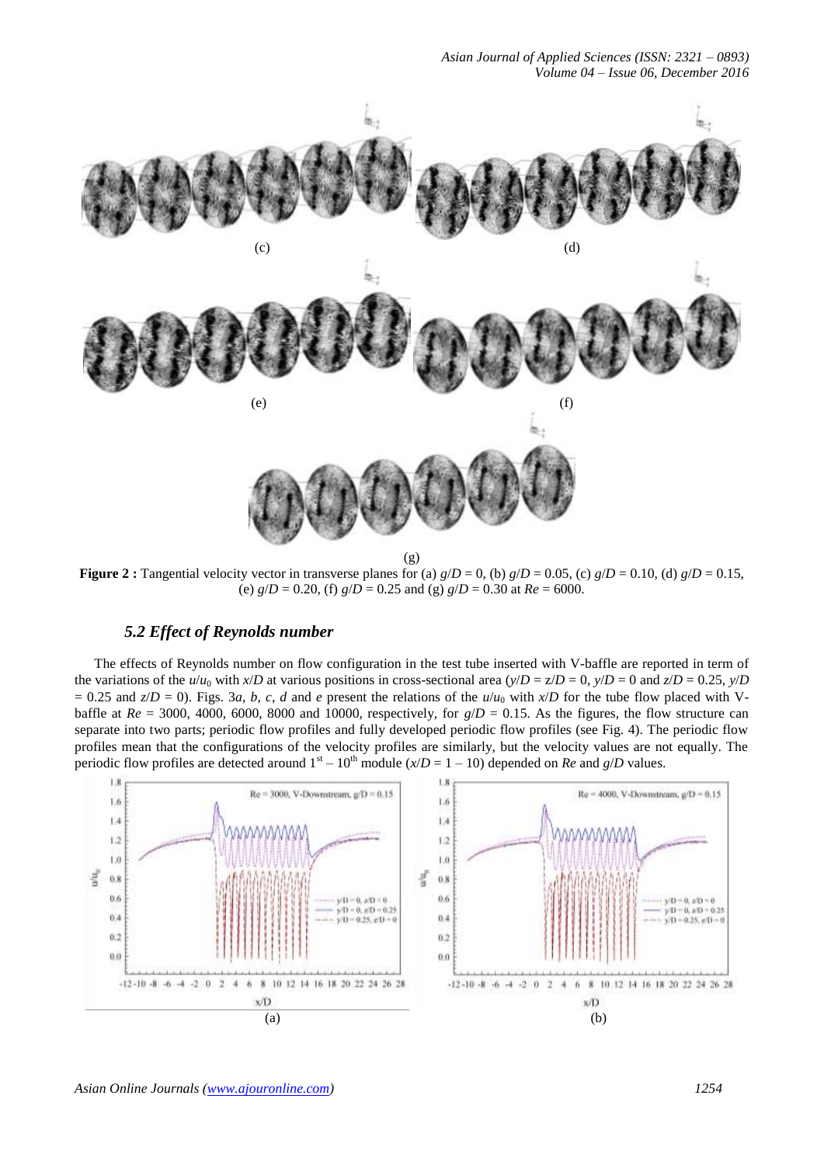*Asian Journal of Applied Sciences (ISSN: 2321 – 0893) Volume 04 – Issue 06, December 2016*



**Figure 2**: Tangential velocity vector in transverse planes for (a)  $g/D = 0$ , (b)  $g/D = 0.05$ , (c)  $g/D = 0.10$ , (d)  $g/D = 0.15$ , (e)  $g/D = 0.20$ , (f)  $g/D = 0.25$  and (g)  $g/D = 0.30$  at  $Re = 6000$ .

# *5.2 Effect of Reynolds number*

The effects of Reynolds number on flow configuration in the test tube inserted with V-baffle are reported in term of the variations of the  $u/u_0$  with  $x/D$  at various positions in cross-sectional area  $(y/D = z/D = 0, y/D = 0$  and  $z/D = 0.25, y/D$  $= 0.25$  and  $z/D = 0$ ). Figs. 3*a*, *b*, *c*, *d* and *e* present the relations of the *u*/*u*<sub>0</sub> with *x*/*D* for the tube flow placed with Vbaffle at  $Re = 3000$ , 4000, 6000, 8000 and 10000, respectively, for  $g/D = 0.15$ . As the figures, the flow structure can separate into two parts; periodic flow profiles and fully developed periodic flow profiles (see Fig. 4). The periodic flow profiles mean that the configurations of the velocity profiles are similarly, but the velocity values are not equally. The periodic flow profiles are detected around  $1<sup>st</sup> - 10<sup>th</sup>$  module ( $x/D = 1 - 10$ ) depended on *Re* and  $g/D$  values.

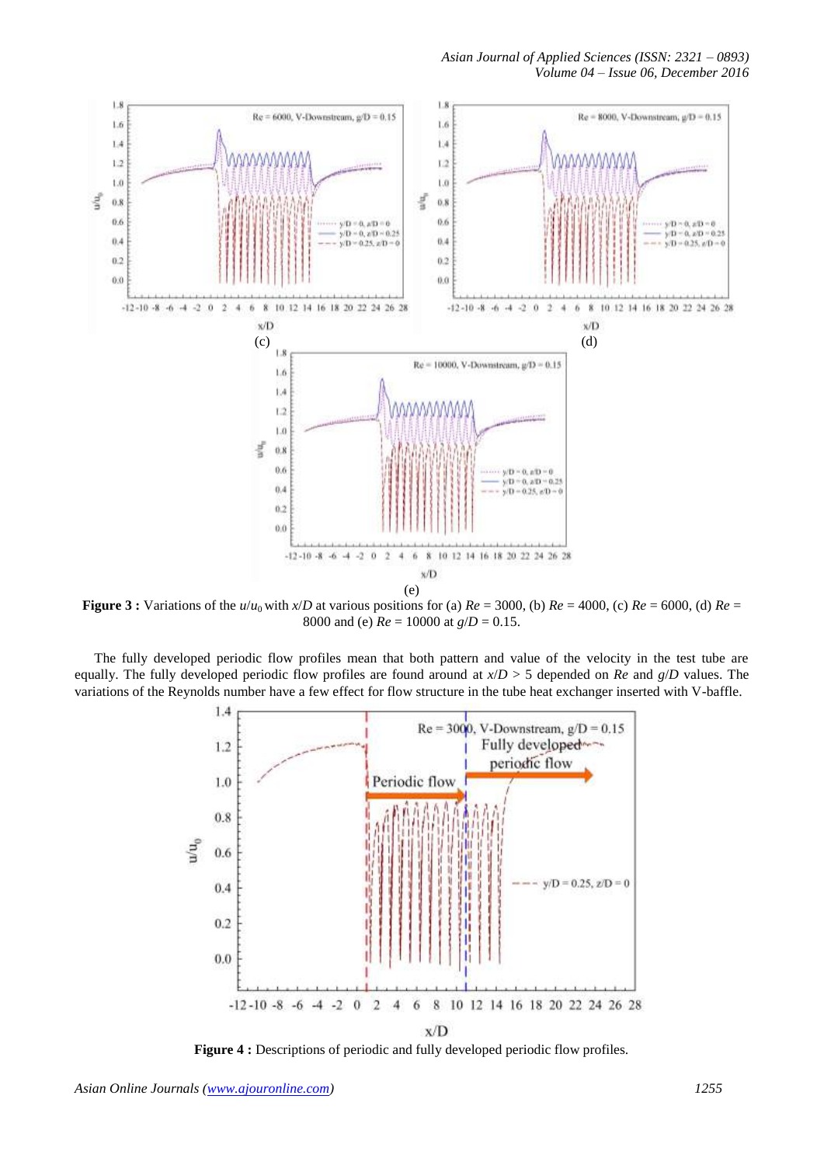

**Figure 3**: Variations of the  $u/u_0$  with  $x/D$  at various positions for (a)  $Re = 3000$ , (b)  $Re = 4000$ , (c)  $Re = 6000$ , (d)  $Re = 6000$ 8000 and (e) *Re* = 10000 at *g*/*D* = 0.15.

The fully developed periodic flow profiles mean that both pattern and value of the velocity in the test tube are equally. The fully developed periodic flow profiles are found around at  $x/D > 5$  depended on *Re* and  $g/D$  values. The variations of the Reynolds number have a few effect for flow structure in the tube heat exchanger inserted with V-baffle.



**Figure 4 :** Descriptions of periodic and fully developed periodic flow profiles.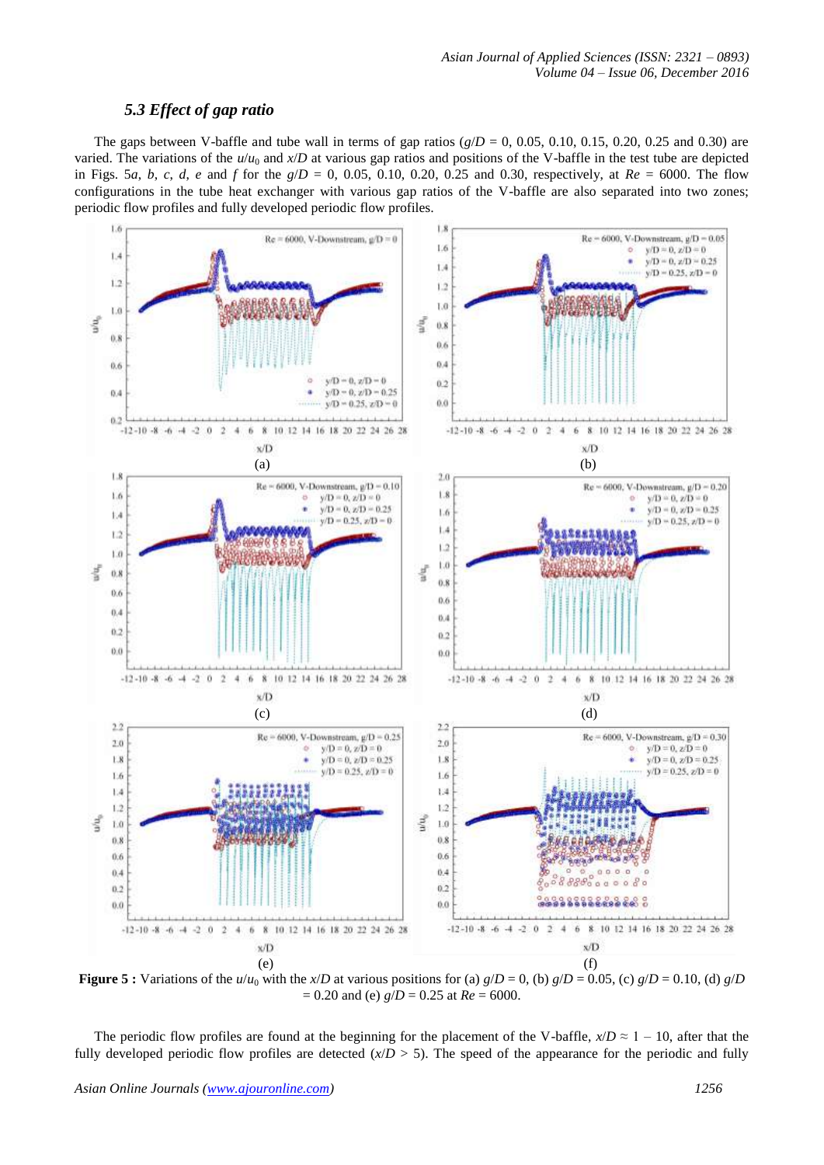# *5.3 Effect of gap ratio*

The gaps between V-baffle and tube wall in terms of gap ratios  $(g/D = 0, 0.05, 0.10, 0.15, 0.20, 0.25,$  and 0.30) are varied. The variations of the  $u/u_0$  and  $x/D$  at various gap ratios and positions of the V-baffle in the test tube are depicted in Figs. 5*a*, *b*, *c*, *d*, *e* and *f* for the  $g/D = 0$ , 0.05, 0.10, 0.20, 0.25 and 0.30, respectively, at  $Re = 6000$ . The flow configurations in the tube heat exchanger with various gap ratios of the V-baffle are also separated into two zones; periodic flow profiles and fully developed periodic flow profiles.



**Figure 5 :** Variations of the  $u/u_0$  with the *x*/*D* at various positions for (a)  $g/D = 0$ , (b)  $g/D = 0.05$ , (c)  $g/D = 0.10$ , (d)  $g/D$  $= 0.20$  and (e)  $g/D = 0.25$  at  $Re = 6000$ .

The periodic flow profiles are found at the beginning for the placement of the V-baffle,  $x/D \approx 1 - 10$ , after that the fully developed periodic flow profiles are detected  $(x/D > 5)$ . The speed of the appearance for the periodic and fully